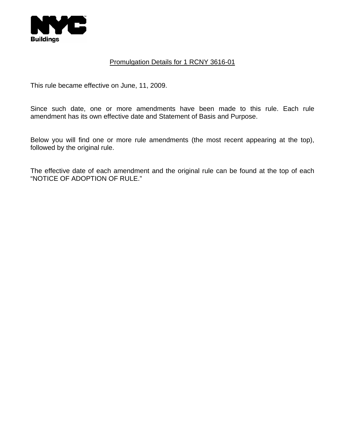

## Promulgation Details for 1 RCNY 3616-01

This rule became effective on June, 11, 2009.

Since such date, one or more amendments have been made to this rule. Each rule amendment has its own effective date and Statement of Basis and Purpose.

Below you will find one or more rule amendments (the most recent appearing at the top), followed by the original rule.

The effective date of each amendment and the original rule can be found at the top of each "NOTICE OF ADOPTION OF RULE."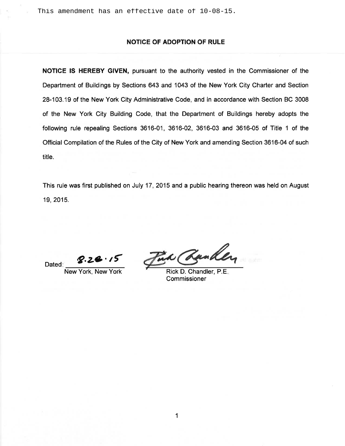#### **NOTICE OF ADOPTION OF RULE**

NOTICE IS HEREBY GIVEN, pursuant to the authority vested in the Commissioner of the Department of Buildings by Sections 643 and 1043 of the New York City Charter and Section 28-103.19 of the New York City Administrative Code, and in accordance with Section BC 3008 of the New York City Building Code, that the Department of Buildings hereby adopts the following rule repealing Sections 3616-01, 3616-02, 3616-03 and 3616-05 of Title 1 of the Official Compilation of the Rules of the City of New York and amending Section 3616-04 of such title.

This rule was first published on July 17, 2015 and a public hearing thereon was held on August 19, 2015.

 $8.28.15$ Dated:

New York, New York

Tia Rander

Rick D. Chandler, P.E. Commissioner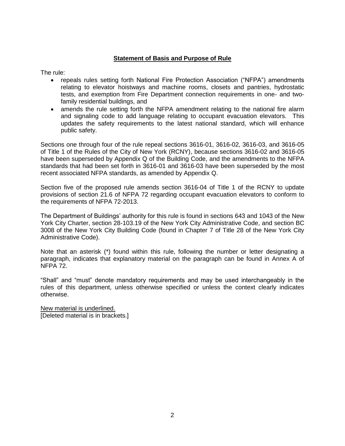## **Statement of Basis and Purpose of Rule**

The rule:

- repeals rules setting forth National Fire Protection Association ("NFPA") amendments relating to elevator hoistways and machine rooms, closets and pantries, hydrostatic tests, and exemption from Fire Department connection requirements in one- and twofamily residential buildings, and
- amends the rule setting forth the NFPA amendment relating to the national fire alarm and signaling code to add language relating to occupant evacuation elevators. This updates the safety requirements to the latest national standard, which will enhance public safety.

Sections one through four of the rule repeal sections 3616-01, 3616-02, 3616-03, and 3616-05 of Title 1 of the Rules of the City of New York (RCNY), because sections 3616-02 and 3616-05 have been superseded by Appendix Q of the Building Code, and the amendments to the NFPA standards that had been set forth in 3616-01 and 3616-03 have been superseded by the most recent associated NFPA standards, as amended by Appendix Q.

Section five of the proposed rule amends section 3616-04 of Title 1 of the RCNY to update provisions of section 21.6 of NFPA 72 regarding occupant evacuation elevators to conform to the requirements of NFPA 72-2013.

The Department of Buildings' authority for this rule is found in sections 643 and 1043 of the New York City Charter, section 28-103.19 of the New York City Administrative Code, and section BC 3008 of the New York City Building Code (found in Chapter 7 of Title 28 of the New York City Administrative Code).

Note that an asterisk (\*) found within this rule, following the number or letter designating a paragraph, indicates that explanatory material on the paragraph can be found in Annex A of NFPA 72.

"Shall" and "must" denote mandatory requirements and may be used interchangeably in the rules of this department, unless otherwise specified or unless the context clearly indicates otherwise.

New material is underlined. [Deleted material is in brackets.]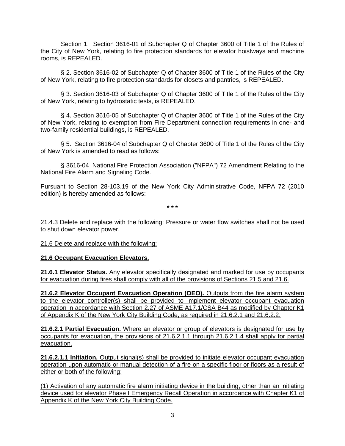Section 1. Section 3616-01 of Subchapter Q of Chapter 3600 of Title 1 of the Rules of the City of New York, relating to fire protection standards for elevator hoistways and machine rooms, is REPEALED.

§ 2. Section 3616-02 of Subchapter Q of Chapter 3600 of Title 1 of the Rules of the City of New York, relating to fire protection standards for closets and pantries, is REPEALED.

§ 3. Section 3616-03 of Subchapter Q of Chapter 3600 of Title 1 of the Rules of the City of New York, relating to hydrostatic tests, is REPEALED.

§ 4. Section 3616-05 of Subchapter Q of Chapter 3600 of Title 1 of the Rules of the City of New York, relating to exemption from Fire Department connection requirements in one- and two-family residential buildings, is REPEALED.

§ 5. Section 3616-04 of Subchapter Q of Chapter 3600 of Title 1 of the Rules of the City of New York is amended to read as follows:

§ 3616-04 National Fire Protection Association ("NFPA") 72 Amendment Relating to the National Fire Alarm and Signaling Code.

Pursuant to Section 28-103.19 of the New York City Administrative Code, NFPA 72 (2010 edition) is hereby amended as follows:

**\* \* \***

21.4.3 Delete and replace with the following: Pressure or water flow switches shall not be used to shut down elevator power.

21.6 Delete and replace with the following:

### **21.6 Occupant Evacuation Elevators.**

**21.6.1 Elevator Status.** Any elevator specifically designated and marked for use by occupants for evacuation during fires shall comply with all of the provisions of Sections 21.5 and 21.6.

**21.6.2 Elevator Occupant Evacuation Operation (OEO).** Outputs from the fire alarm system to the elevator controller(s) shall be provided to implement elevator occupant evacuation operation in accordance with Section 2.27 of ASME A17.1/CSA B44 as modified by Chapter K1 of Appendix K of the New York City Building Code, as required in 21.6.2.1 and 21.6.2.2.

**21.6.2.1 Partial Evacuation.** Where an elevator or group of elevators is designated for use by occupants for evacuation, the provisions of 21.6.2.1.1 through 21.6.2.1.4 shall apply for partial evacuation.

**21.6.2.1.1 Initiation.** Output signal(s) shall be provided to initiate elevator occupant evacuation operation upon automatic or manual detection of a fire on a specific floor or floors as a result of either or both of the following:

(1) Activation of any automatic fire alarm initiating device in the building, other than an initiating device used for elevator Phase I Emergency Recall Operation in accordance with Chapter K1 of Appendix K of the New York City Building Code.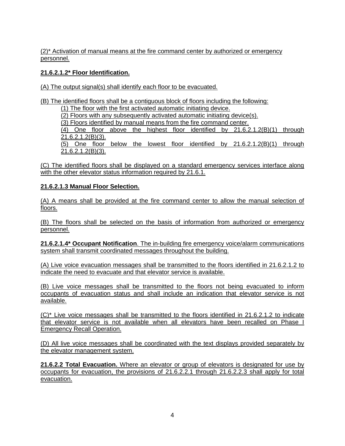(2)\* Activation of manual means at the fire command center by authorized or emergency personnel.

## **21.6.2.1.2\* Floor Identification.**

(A) The output signal(s) shall identify each floor to be evacuated.

(B) The identified floors shall be a contiguous block of floors including the following: (1) The floor with the first activated automatic initiating device. (2) Floors with any subsequently activated automatic initiating device(s). (3) Floors identified by manual means from the fire command center. (4) One floor above the highest floor identified by  $21.6.2.1.2(B)(1)$  through 21.6.2.1.2(B)(3). (5) One floor below the lowest floor identified by 21.6.2.1.2(B)(1) through 21.6.2.1.2(B)(3).

(C) The identified floors shall be displayed on a standard emergency services interface along with the other elevator status information required by 21.6.1.

# **21.6.2.1.3 Manual Floor Selection.**

(A) A means shall be provided at the fire command center to allow the manual selection of floors.

(B) The floors shall be selected on the basis of information from authorized or emergency personnel.

**21.6.2.1.4\* Occupant Notification**. The in-building fire emergency voice/alarm communications system shall transmit coordinated messages throughout the building.

(A) Live voice evacuation messages shall be transmitted to the floors identified in 21.6.2.1.2 to indicate the need to evacuate and that elevator service is available.

(B) Live voice messages shall be transmitted to the floors not being evacuated to inform occupants of evacuation status and shall include an indication that elevator service is not available.

(C)\* Live voice messages shall be transmitted to the floors identified in 21.6.2.1.2 to indicate that elevator service is not available when all elevators have been recalled on Phase I Emergency Recall Operation.

(D) All live voice messages shall be coordinated with the text displays provided separately by the elevator management system.

**21.6.2.2 Total Evacuation.** Where an elevator or group of elevators is designated for use by occupants for evacuation, the provisions of 21.6.2.2.1 through 21.6.2.2.3 shall apply for total evacuation.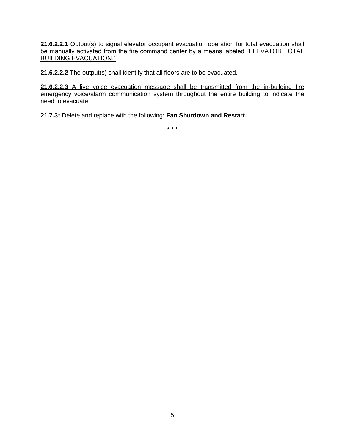21.6.2.2.1 Output(s) to signal elevator occupant evacuation operation for total evacuation shall be manually activated from the fire command center by a means labeled "ELEVATOR TOTAL BUILDING EVACUATION."

**21.6.2.2.2** The output(s) shall identify that all floors are to be evacuated.

**21.6.2.2.3** A live voice evacuation message shall be transmitted from the in-building fire emergency voice/alarm communication system throughout the entire building to indicate the need to evacuate.

**21.7.3\*** Delete and replace with the following: **Fan Shutdown and Restart.**

**\* \* \***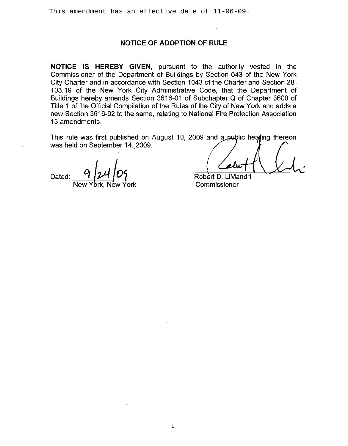#### **NOTICE OF ADOPTION OF RULE**

**NOTICE IS HEREBY GIVEN,** pursuant to the authority vested in the Commissioner of the Department of Buildings by Section 643 of the New York City Charter and in accordance with Section 1043 of the Charter and Section 28- 103.19 of the New York City Administrative Code, that the Department of Buildings hereby amends Section 3616-01 of Subchapter Q of Chapter 3600 of Title 1 of the Official Compilation of the Rules of the City of New York and adds a new Section 3616-02 to the same, relating to National Fire Protection Association 13 amendments.

This rule was first published on August 10, 2009 and a public heating thereon was held on September 14, 2009.

Dated:

New York, New York

Robert D. LiMandri Commissioner

1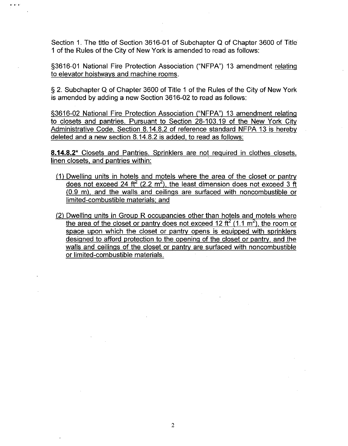Section 1. The title of Section 3616-01 of Subchapter Q of Chapter 3600 of Title 1 of the Rules of the City of New York is amended to read as follows:

in in a

§3616-01 National Fire Protection Association ("NFPA") 13 amendment relating to elevator hoistways and machine rooms.

§ 2. Subchapter Q of Chapter 3600 of Title 1 of the Rules of the City of New York is amended by adding a new Section 3616-02 to read as follows:

§3616-02 National Fire Protection Association ("NFPA") 13 amendment relating to closets and pantries. Pursuant to Section 28-103.19 of the New York City Administrative Code, Section 8.14.8.2 of reference standard NFPA 13 is hereby deleted and a new section 8.14.8.2 is added, to read as follows:

**8.14.8.2\*** Closets and Pantries. Sprinklers are not required in clothes closets, linen closets, and pantries within:

- (1) Dwelling units in hotels and motels where the area of the closet or pantry does not exceed 24 ft<sup>2</sup> (2.2 m<sup>2</sup>), the least dimension does not exceed 3 ft (0.9 m), and the walls and ceilings are surfaced with noncombustible or limited-combustible materials: and
- (2) Dwelling units in Group R occupancies other than hotels and motels where the area of the closet or pantry does not exceed 12 ft<sup>2</sup> (1.1 m<sup>2</sup>), the room or space upon which the closet or pantry opens is equipped with sprinklers designed to afford protection to the opening of the closet or pantry, and the walls and ceilings of the closet or pantry are surfaced with noncombustible or limited-combustible materials.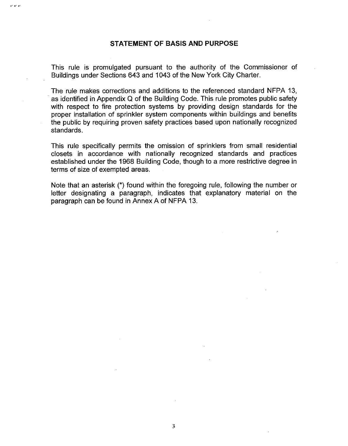#### **STATEMENT OF BASIS AND PURPOSE**

," ," ,"

This rule is promulgated pursuant to the authority of the Commissioner of Buildings under Sections 643 and 1043 of the New York City Charter.

The rule makes corrections and additions to the referenced standard NFPA 13, as identified in Appendix Q of the Building Code. This rule promotes public safety with respect to fire protection systems by providing design standards for the proper installation of sprinkler system components within buildings and benefits the public by requiring proven safety practices based upon nationally recognized standards.

This rule specifically permits the omission of sprinklers from small residential closets in accordance with nationally recognized standards and practices established under the 1968 Building Code, though to a more restrictive degree in terms of size of exempted areas.

Note that an asterisk (\*) found within the foregoing rule, following the number or letter designating a paragraph, indicates that explanatory material on the paragraph can be found in Annex A of NFPA 13.

3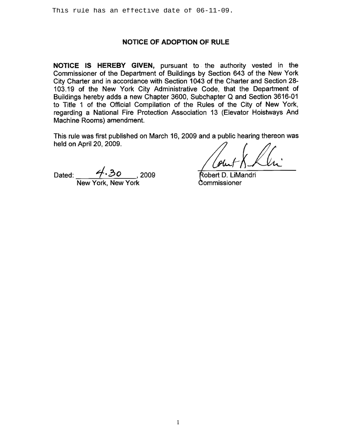## **NOTICE OF ADOPTION OF RULE**

NOTICE IS HEREBY GIVEN, pursuant to the authority vested in the Commissioner of the Department of Buildings by Section 643 of the New York City Charter and in accordance with Section 1043 of the Charter and Section 28-103.19 of the New York City Administrative Code, that the Department of Buildings hereby adds a new Chapter 3600, Subchapter Q and Section 3616-01 to Title 1 of the Official Compilation of the Rules of the City of New York, regarding a National Fire Protection Association 13 (Elevator Hoistways And Machine Rooms) amendment.

This rule was first published on March 16, 2009 and a public hearing thereon was held on April 20, 2009.

Dated:  $\frac{\cancel{1} \cdot 30}{\cancel{1} \cdot \cancel{1} \cdot 30}$ , 2009

Robert D. LiMandri Commissioner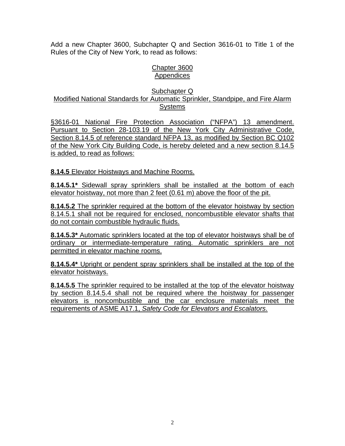Add a new Chapter 3600, Subchapter Q and Section 3616-01 to Title 1 of the Rules of the City of New York, to read as follows:

# Chapter 3600 **Appendices**

### Subchapter Q Modified National Standards for Automatic Sprinkler, Standpipe, and Fire Alarm Systems

§3616-01 National Fire Protection Association ("NFPA") 13 amendment. Pursuant to Section 28-103.19 of the New York City Administrative Code, Section 8.14.5 of reference standard NFPA 13, as modified by Section BC Q102 of the New York City Building Code, is hereby deleted and a new section 8.14.5 is added, to read as follows:

**8.14.5** Elevator Hoistways and Machine Rooms.

**8.14.5.1\*** Sidewall spray sprinklers shall be installed at the bottom of each elevator hoistway, not more than 2 feet (0.61 m) above the floor of the pit.

**8.14.5.2** The sprinkler required at the bottom of the elevator hoistway by section 8.14.5.1 shall not be required for enclosed, noncombustible elevator shafts that do not contain combustible hydraulic fluids.

**8.14.5.3\*** Automatic sprinklers located at the top of elevator hoistways shall be of ordinary or intermediate-temperature rating. Automatic sprinklers are not permitted in elevator machine rooms.

**8.14.5.4\*** Upright or pendent spray sprinklers shall be installed at the top of the elevator hoistways.

**8.14.5.5** The sprinkler required to be installed at the top of the elevator hoistway by section 8.14.5.4 shall not be required where the hoistway for passenger elevators is noncombustible and the car enclosure materials meet the requirements of ASME A17.1, *Safety Code for Elevators and Escalators*.